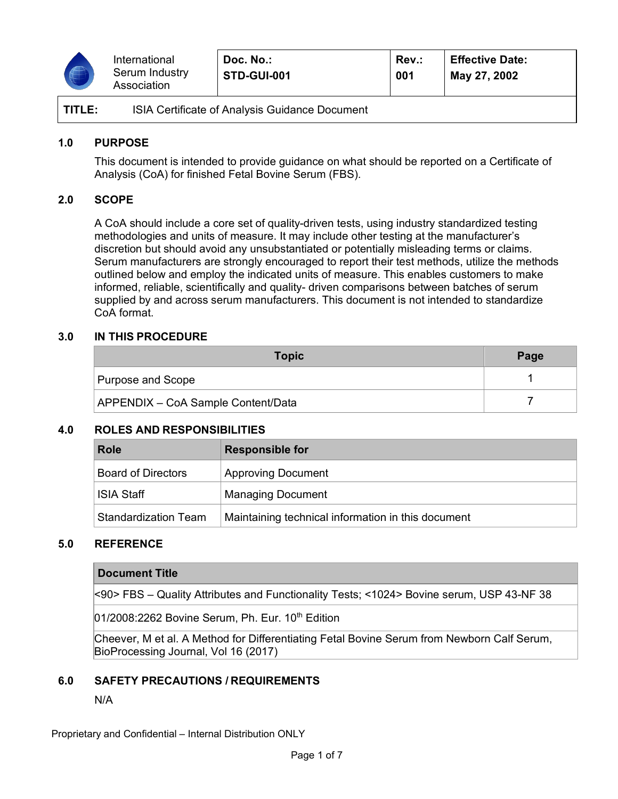

| TITLE: | ISIA Certificate of Analysis Guidance Document |
|--------|------------------------------------------------|
|--------|------------------------------------------------|

### **1.0 PURPOSE**

This document is intended to provide guidance on what should be reported on a Certificate of Analysis (CoA) for finished Fetal Bovine Serum (FBS).

## **2.0 SCOPE**

A CoA should include a core set of quality-driven tests, using industry standardized testing methodologies and units of measure. It may include other testing at the manufacturer's discretion but should avoid any unsubstantiated or potentially misleading terms or claims. Serum manufacturers are strongly encouraged to report their test methods, utilize the methods outlined below and employ the indicated units of measure. This enables customers to make informed, reliable, scientifically and quality- driven comparisons between batches of serum supplied by and across serum manufacturers. This document is not intended to standardize CoA format.

### **3.0 IN THIS PROCEDURE**

| <b>Topic</b>                              | Page |
|-------------------------------------------|------|
| Purpose and Scope                         |      |
| <b>APPENDIX - CoA Sample Content/Data</b> |      |

## **4.0 ROLES AND RESPONSIBILITIES**

| <b>Role</b>                 | <b>Responsible for</b>                             |
|-----------------------------|----------------------------------------------------|
| <b>Board of Directors</b>   | <b>Approving Document</b>                          |
| <b>ISIA Staff</b>           | <b>Managing Document</b>                           |
| <b>Standardization Team</b> | Maintaining technical information in this document |

## **5.0 REFERENCE**

### **Document Title**

<90> FBS – Quality Attributes and Functionality Tests; <1024> Bovine serum, USP 43-NF 38

 $01/2008:2262$  Bovine Serum, Ph. Eur. 10<sup>th</sup> Edition

Cheever, M et al. A Method for Differentiating Fetal Bovine Serum from Newborn Calf Serum, BioProcessing Journal, Vol 16 (2017)

### **6.0 SAFETY PRECAUTIONS / REQUIREMENTS**

### N/A

Proprietary and Confidential – Internal Distribution ONLY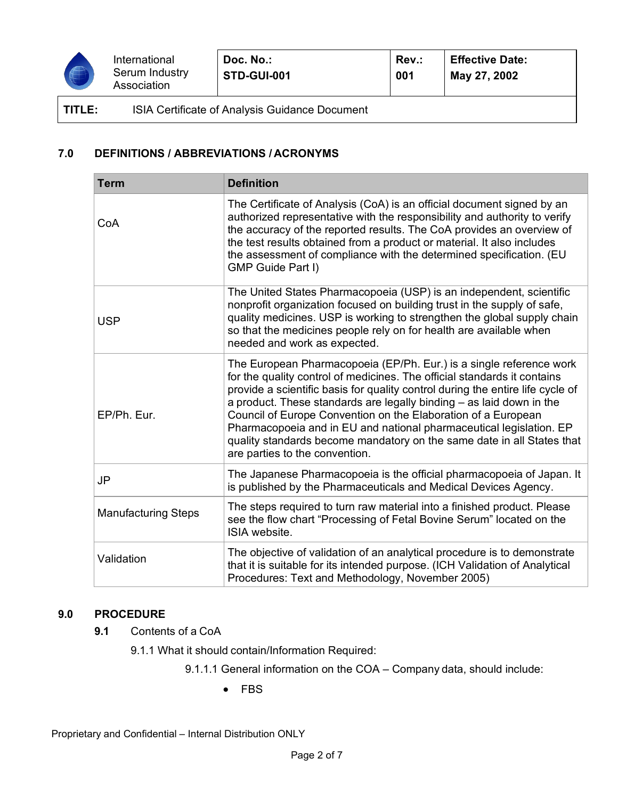

# **TITLE:** ISIA Certificate of Analysis Guidance Document

# **7.0 DEFINITIONS / ABBREVIATIONS / ACRONYMS**

| <b>Term</b>                | <b>Definition</b>                                                                                                                                                                                                                                                                                                                                                                                                                                                                                                                                             |  |
|----------------------------|---------------------------------------------------------------------------------------------------------------------------------------------------------------------------------------------------------------------------------------------------------------------------------------------------------------------------------------------------------------------------------------------------------------------------------------------------------------------------------------------------------------------------------------------------------------|--|
| CoA                        | The Certificate of Analysis (CoA) is an official document signed by an<br>authorized representative with the responsibility and authority to verify<br>the accuracy of the reported results. The CoA provides an overview of<br>the test results obtained from a product or material. It also includes<br>the assessment of compliance with the determined specification. (EU<br><b>GMP Guide Part I)</b>                                                                                                                                                     |  |
| <b>USP</b>                 | The United States Pharmacopoeia (USP) is an independent, scientific<br>nonprofit organization focused on building trust in the supply of safe,<br>quality medicines. USP is working to strengthen the global supply chain<br>so that the medicines people rely on for health are available when<br>needed and work as expected.                                                                                                                                                                                                                               |  |
| EP/Ph. Eur.                | The European Pharmacopoeia (EP/Ph. Eur.) is a single reference work<br>for the quality control of medicines. The official standards it contains<br>provide a scientific basis for quality control during the entire life cycle of<br>a product. These standards are legally binding – as laid down in the<br>Council of Europe Convention on the Elaboration of a European<br>Pharmacopoeia and in EU and national pharmaceutical legislation. EP<br>quality standards become mandatory on the same date in all States that<br>are parties to the convention. |  |
| <b>JP</b>                  | The Japanese Pharmacopoeia is the official pharmacopoeia of Japan. It<br>is published by the Pharmaceuticals and Medical Devices Agency.                                                                                                                                                                                                                                                                                                                                                                                                                      |  |
| <b>Manufacturing Steps</b> | The steps required to turn raw material into a finished product. Please<br>see the flow chart "Processing of Fetal Bovine Serum" located on the<br>ISIA website.                                                                                                                                                                                                                                                                                                                                                                                              |  |
| Validation                 | The objective of validation of an analytical procedure is to demonstrate<br>that it is suitable for its intended purpose. (ICH Validation of Analytical<br>Procedures: Text and Methodology, November 2005)                                                                                                                                                                                                                                                                                                                                                   |  |

## **9.0 PROCEDURE**

- **9.1** Contents of a CoA
	- 9.1.1 What it should contain/Information Required:
		- 9.1.1.1 General information on the COA Company data, should include:
			- FBS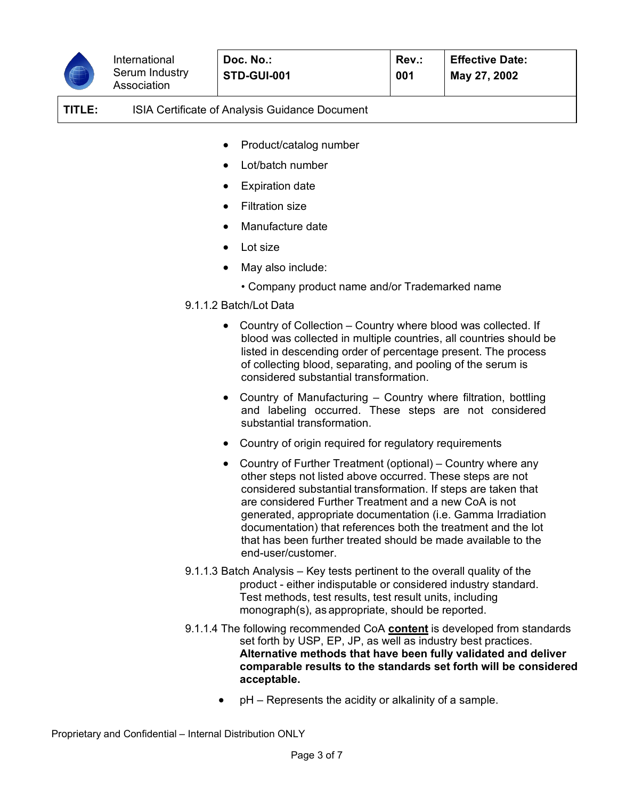

**TITLE:** ISIA Certificate of Analysis Guidance Document

- Product/catalog number
- Lot/batch number
- **Expiration date**
- Filtration size
- Manufacture date
- Lot size
- May also include:
	- Company product name and/or Trademarked name
- 9.1.1.2 Batch/Lot Data
	- Country of Collection Country where blood was collected. If blood was collected in multiple countries, all countries should be listed in descending order of percentage present. The process of collecting blood, separating, and pooling of the serum is considered substantial transformation.
	- Country of Manufacturing Country where filtration, bottling and labeling occurred. These steps are not considered substantial transformation.
	- Country of origin required for regulatory requirements
	- Country of Further Treatment (optional) Country where any other steps not listed above occurred. These steps are not considered substantial transformation. If steps are taken that are considered Further Treatment and a new CoA is not generated, appropriate documentation (i.e. Gamma Irradiation documentation) that references both the treatment and the lot that has been further treated should be made available to the end-user/customer.
- 9.1.1.3 Batch Analysis Key tests pertinent to the overall quality of the product - either indisputable or considered industry standard. Test methods, test results, test result units, including monograph(s), as appropriate, should be reported.
- 9.1.1.4 The following recommended CoA **content** is developed from standards set forth by USP, EP, JP, as well as industry best practices. **Alternative methods that have been fully validated and deliver comparable results to the standards set forth will be considered acceptable.**
	- pH Represents the acidity or alkalinity of a sample.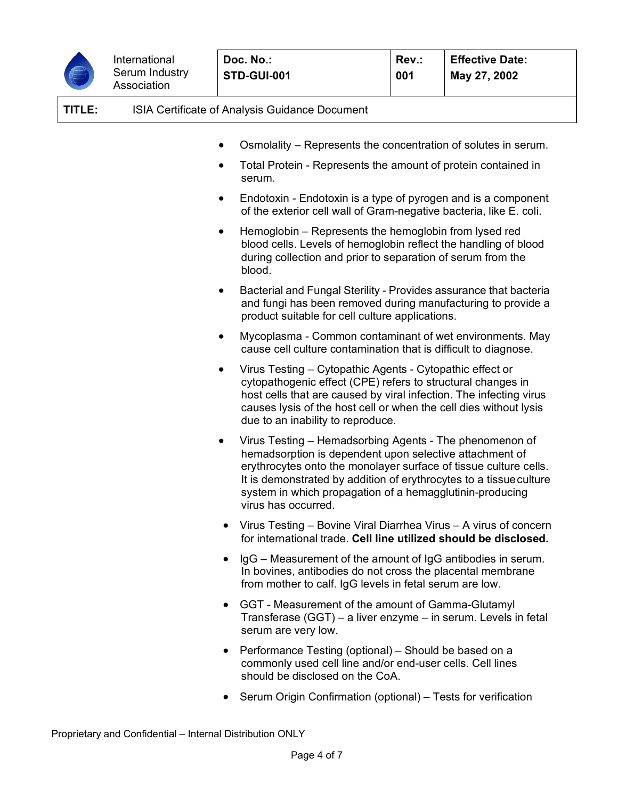

| TITLE: |           | <b>ISIA Certificate of Analysis Guidance Document</b>                                                                                                                                                                                                                                                   |
|--------|-----------|---------------------------------------------------------------------------------------------------------------------------------------------------------------------------------------------------------------------------------------------------------------------------------------------------------|
|        |           | Osmolality – Represents the concentration of solutes in serum.                                                                                                                                                                                                                                          |
|        |           | Total Protein - Represents the amount of protein contained in<br>serum.                                                                                                                                                                                                                                 |
|        |           | Endotoxin - Endotoxin is a type of pyrogen and is a component<br>of the exterior cell wall of Gram-negative bacteria, like E. coli.                                                                                                                                                                     |
|        |           | Hemoglobin – Represents the hemoglobin from lysed red<br>blood cells. Levels of hemoglobin reflect the handling of blood<br>during collection and prior to separation of serum from the<br>blood.                                                                                                       |
|        |           | Bacterial and Fungal Sterility - Provides assurance that bacteria<br>and fungi has been removed during manufacturing to provide a<br>product suitable for cell culture applications.                                                                                                                    |
|        |           | Mycoplasma - Common contaminant of wet environments. May<br>cause cell culture contamination that is difficult to diagnose.                                                                                                                                                                             |
|        | $\bullet$ | Virus Testing - Cytopathic Agents - Cytopathic effect or<br>cytopathogenic effect (CPE) refers to structural changes in<br>host cells that are caused by viral infection. The infecting virus<br>causes lysis of the host cell or when the cell dies without lysis<br>due to an inability to reproduce. |
|        |           | Virus Testing – Hemadsorbing Agents - The phenomenon of<br>hemadsorption is dependent upon selective attachment of                                                                                                                                                                                      |

- hemadsorption is dependent upon selective attachment of erythrocytes onto the monolayer surface of tissue culture cells. It is demonstrated by addition of erythrocytes to a tissueculture system in which propagation of a hemagglutinin-producing virus has occurred.
- Virus Testing Bovine Viral Diarrhea Virus A virus of concern for international trade. **Cell line utilized should be disclosed.**
- IgG Measurement of the amount of IgG antibodies in serum. In bovines, antibodies do not cross the placental membrane from mother to calf. IgG levels in fetal serum are low.
- GGT Measurement of the amount of Gamma-Glutamyl Transferase (GGT) – a liver enzyme – in serum. Levels in fetal serum are very low.
- Performance Testing (optional) Should be based on a commonly used cell line and/or end-user cells. Cell lines should be disclosed on the CoA.
- Serum Origin Confirmation (optional) Tests for verification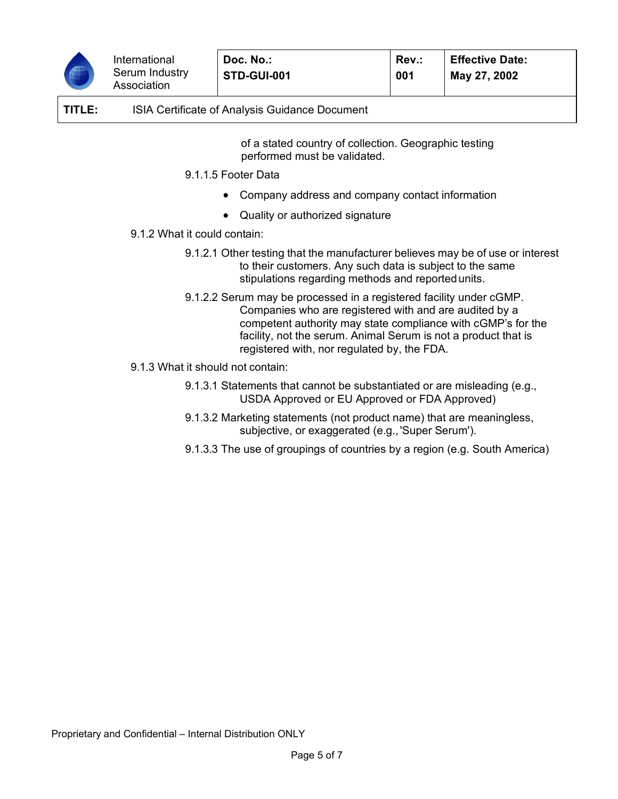

# **TITLE:** ISIA Certificate of Analysis Guidance Document

of a stated country of collection. Geographic testing performed must be validated.

- 9.1.1.5 Footer Data
	- Company address and company contact information
	- Quality or authorized signature
- 9.1.2 What it could contain:
	- 9.1.2.1 Other testing that the manufacturer believes may be of use or interest to their customers. Any such data is subject to the same stipulations regarding methods and reportedunits.
	- 9.1.2.2 Serum may be processed in a registered facility under cGMP. Companies who are registered with and are audited by a competent authority may state compliance with cGMP's for the facility, not the serum. Animal Serum is not a product that is registered with, nor regulated by, the FDA.
- 9.1.3 What it should not contain:
	- 9.1.3.1 Statements that cannot be substantiated or are misleading (e.g., USDA Approved or EU Approved or FDA Approved)
	- 9.1.3.2 Marketing statements (not product name) that are meaningless, subjective, or exaggerated (e.g.,'Super Serum').
	- 9.1.3.3 The use of groupings of countries by a region (e.g. South America)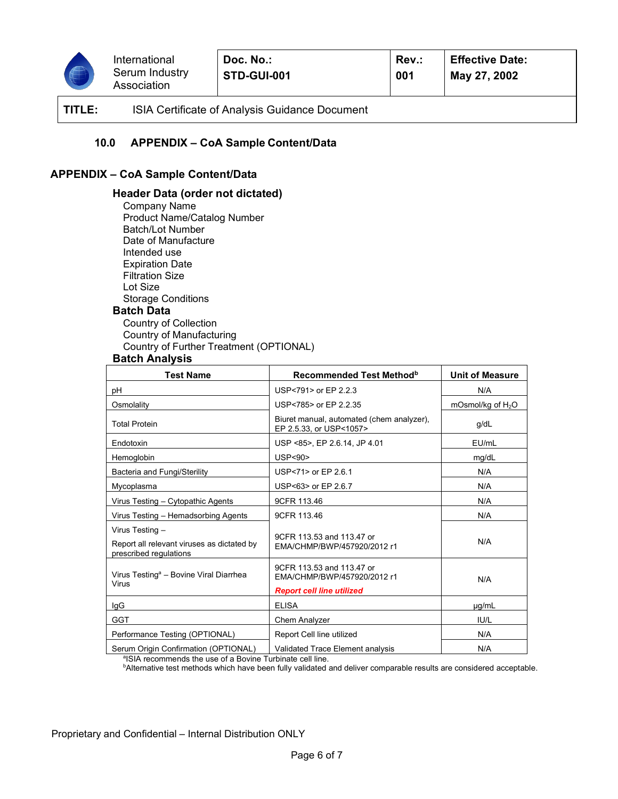

**001**

**TITLE:** ISIA Certificate of Analysis Guidance Document

### **10.0 APPENDIX – CoA Sample Content/Data**

### **APPENDIX – CoA Sample Content/Data**

### **Header Data (order not dictated)**

Company Name Product Name/Catalog Number Batch/Lot Number Date of Manufacture Intended use Expiration Date Filtration Size Lot Size Storage Conditions **Batch Data** Country of Collection Country of Manufacturing Country of Further Treatment (OPTIONAL)

### **Batch Analysis**

| <b>Test Name</b>                                                                        | Recommended Test Method <sup>b</sup>                                                         | <b>Unit of Measure</b> |
|-----------------------------------------------------------------------------------------|----------------------------------------------------------------------------------------------|------------------------|
| рH                                                                                      | USP<791> or EP 2.2.3                                                                         | N/A                    |
| Osmolality                                                                              | USP<785> or EP 2.2.35                                                                        | mOsmol/kg of $H_2O$    |
| <b>Total Protein</b>                                                                    | Biuret manual, automated (chem analyzer),<br>EP 2.5.33, or USP<1057>                         | g/dL                   |
| Endotoxin                                                                               | USP <85>, EP 2.6.14, JP 4.01                                                                 | EU/mL                  |
| Hemoglobin                                                                              | <b>USP&lt;90&gt;</b>                                                                         | mg/dL                  |
| Bacteria and Fungi/Sterility                                                            | USP<71> or EP 2.6.1                                                                          | N/A                    |
| Mycoplasma                                                                              | USP<63> or EP 2.6.7                                                                          | N/A                    |
| Virus Testing - Cytopathic Agents                                                       | 9CFR 113.46                                                                                  | N/A                    |
| Virus Testing - Hemadsorbing Agents                                                     | 9CFR 113.46                                                                                  | N/A                    |
| Virus Testing -<br>Report all relevant viruses as dictated by<br>prescribed regulations | 9CFR 113.53 and 113.47 or<br>EMA/CHMP/BWP/457920/2012 r1                                     | N/A                    |
| Virus Testing <sup>a</sup> - Bovine Viral Diarrhea<br>Virus                             | 9CFR 113.53 and 113.47 or<br>FMA/CHMP/RWP/457920/2012 r1<br><b>Report cell line utilized</b> | N/A                    |
| IgG                                                                                     | <b>ELISA</b>                                                                                 | $\mu$ g/mL             |
| <b>GGT</b>                                                                              | Chem Analyzer                                                                                | IU/L                   |
| Performance Testing (OPTIONAL)                                                          | Report Cell line utilized                                                                    | N/A                    |
| Serum Origin Confirmation (OPTIONAL)                                                    | Validated Trace Element analysis                                                             | N/A                    |

<sup>a</sup>ISIA recommends the use of a Bovine Turbinate cell line.<br><sup>b</sup>Alternative test methods which have been fully validated a

**Alternative test methods which have been fully validated and deliver comparable results are considered acceptable.**